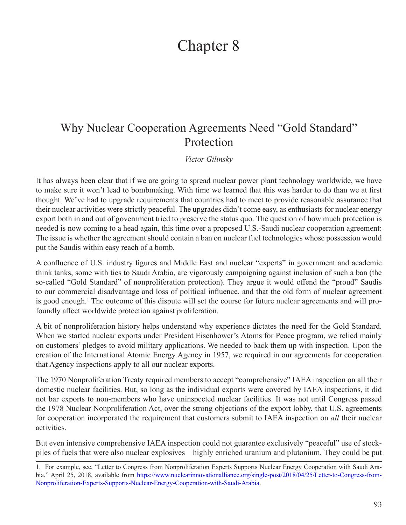## Chapter 8

## Why Nuclear Cooperation Agreements Need "Gold Standard" Protection

*Victor Gilinsky*

It has always been clear that if we are going to spread nuclear power plant technology worldwide, we have to make sure it won't lead to bombmaking. With time we learned that this was harder to do than we at first thought. We've had to upgrade requirements that countries had to meet to provide reasonable assurance that their nuclear activities were strictly peaceful. The upgrades didn't come easy, as enthusiasts for nuclear energy export both in and out of government tried to preserve the status quo. The question of how much protection is needed is now coming to a head again, this time over a proposed U.S.-Saudi nuclear cooperation agreement: The issue is whether the agreement should contain a ban on nuclear fuel technologies whose possession would put the Saudis within easy reach of a bomb.

A confluence of U.S. industry figures and Middle East and nuclear "experts" in government and academic think tanks, some with ties to Saudi Arabia, are vigorously campaigning against inclusion of such a ban (the so-called "Gold Standard" of nonproliferation protection). They argue it would offend the "proud" Saudis to our commercial disadvantage and loss of political influence, and that the old form of nuclear agreement is good enough.<sup>1</sup> The outcome of this dispute will set the course for future nuclear agreements and will profoundly affect worldwide protection against proliferation.

A bit of nonproliferation history helps understand why experience dictates the need for the Gold Standard. When we started nuclear exports under President Eisenhower's Atoms for Peace program, we relied mainly on customers' pledges to avoid military applications. We needed to back them up with inspection. Upon the creation of the International Atomic Energy Agency in 1957, we required in our agreements for cooperation that Agency inspections apply to all our nuclear exports.

The 1970 Nonproliferation Treaty required members to accept "comprehensive" IAEA inspection on all their domestic nuclear facilities. But, so long as the individual exports were covered by IAEA inspections, it did not bar exports to non-members who have uninspected nuclear facilities. It was not until Congress passed the 1978 Nuclear Nonproliferation Act, over the strong objections of the export lobby, that U.S. agreements for cooperation incorporated the requirement that customers submit to IAEA inspection on *all* their nuclear activities.

But even intensive comprehensive IAEA inspection could not guarantee exclusively "peaceful" use of stockpiles of fuels that were also nuclear explosives—highly enriched uranium and plutonium. They could be put

<sup>1.</sup> For example, see, "Letter to Congress from Nonproliferation Experts Supports Nuclear Energy Cooperation with Saudi Arabia," April 25, 2018, available from [https://www.nuclearinnovationalliance.org/single-post/2018/04/25/Letter-to-Congress-from-](https://www.nuclearinnovationalliance.org/single-post/2018/04/25/Letter-to-Congress-from-Nonproliferation-Experts-Supports-Nuclear-Energy-Cooperation-with-Saudi-Arabia)[Nonproliferation-Experts-Supports-Nuclear-Energy-Cooperation-with-Saudi-Arabia](https://www.nuclearinnovationalliance.org/single-post/2018/04/25/Letter-to-Congress-from-Nonproliferation-Experts-Supports-Nuclear-Energy-Cooperation-with-Saudi-Arabia).